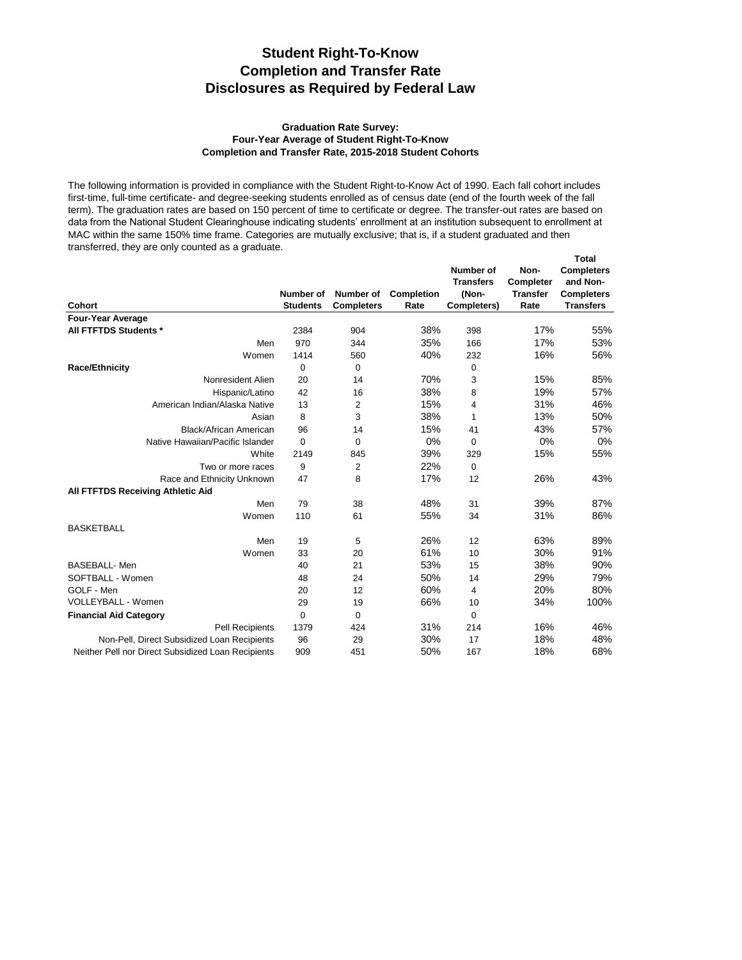## **Student Right-To-Know Completion and Transfer Rate Disclosures as Required by Federal Law**

## **Four-Year Average of Student Right-To-Know Completion and Transfer Rate, 2015-2018 Student Cohorts Graduation Rate Survey:**

The following information is provided in compliance with the Student Right-to-Know Act of 1990. Each fall cohort includes first-time, full-time certificate- and degree-seeking students enrolled as of census date (end of the fourth week of the fall term). The graduation rates are based on 150 percent of time to certificate or degree. The transfer-out rates are based on data from the National Student Clearinghouse indicating students' enrollment at an institution subsequent to enrollment at MAC within the same 150% time frame. Categories are mutually exclusive; that is, if a student graduated and then transferred, they are only counted as a graduate.

| <b>Cohort</b>                                      | Number of<br><b>Students</b> | Number of<br><b>Completers</b> | <b>Completion</b><br>Rate | Number of<br><b>Transfers</b><br>(Non-<br>Completers) | Non-<br>Completer<br><b>Transfer</b><br>Rate | <b>Total</b><br><b>Completers</b><br>and Non-<br><b>Completers</b><br><b>Transfers</b> |
|----------------------------------------------------|------------------------------|--------------------------------|---------------------------|-------------------------------------------------------|----------------------------------------------|----------------------------------------------------------------------------------------|
| <b>Four-Year Average</b>                           |                              |                                |                           |                                                       |                                              |                                                                                        |
| All FTFTDS Students *                              | 2384                         | 904                            | 38%                       | 398                                                   | 17%                                          | 55%                                                                                    |
| Men                                                | 970                          | 344                            | 35%                       | 166                                                   | 17%                                          | 53%                                                                                    |
| Women                                              | 1414                         | 560                            | 40%                       | 232                                                   | 16%                                          | 56%                                                                                    |
| <b>Race/Ethnicity</b>                              | 0                            | 0                              |                           | 0                                                     |                                              |                                                                                        |
| Nonresident Alien                                  | 20                           | 14                             | 70%                       | 3                                                     | 15%                                          | 85%                                                                                    |
| Hispanic/Latino                                    | 42                           | 16                             | 38%                       | 8                                                     | 19%                                          | 57%                                                                                    |
| American Indian/Alaska Native                      | 13                           | 2                              | 15%                       | 4                                                     | 31%                                          | 46%                                                                                    |
| Asian                                              | 8                            | 3                              | 38%                       | 1                                                     | 13%                                          | 50%                                                                                    |
| Black/African American                             | 96                           | 14                             | 15%                       | 41                                                    | 43%                                          | 57%                                                                                    |
| Native Hawaiian/Pacific Islander                   | 0                            | $\Omega$                       | 0%                        | $\Omega$                                              | 0%                                           | 0%                                                                                     |
| White                                              | 2149                         | 845                            | 39%                       | 329                                                   | 15%                                          | 55%                                                                                    |
| Two or more races                                  | 9                            | 2                              | 22%                       | 0                                                     |                                              |                                                                                        |
| Race and Ethnicity Unknown                         | 47                           | 8                              | 17%                       | 12                                                    | 26%                                          | 43%                                                                                    |
| All FTFTDS Receiving Athletic Aid                  |                              |                                |                           |                                                       |                                              |                                                                                        |
| Men                                                | 79                           | 38                             | 48%                       | 31                                                    | 39%                                          | 87%                                                                                    |
| Women                                              | 110                          | 61                             | 55%                       | 34                                                    | 31%                                          | 86%                                                                                    |
| <b>BASKETBALL</b>                                  |                              |                                |                           |                                                       |                                              |                                                                                        |
| Men                                                | 19                           | 5                              | 26%                       | 12                                                    | 63%                                          | 89%                                                                                    |
| Women                                              | 33                           | 20                             | 61%                       | 10                                                    | 30%                                          | 91%                                                                                    |
| <b>BASEBALL-Men</b>                                | 40                           | 21                             | 53%                       | 15                                                    | 38%                                          | 90%                                                                                    |
| SOFTBALL - Women                                   | 48                           | 24                             | 50%                       | 14                                                    | 29%                                          | 79%                                                                                    |
| GOLF - Men                                         | 20                           | 12                             | 60%                       | 4                                                     | 20%                                          | 80%                                                                                    |
| VOLLEYBALL - Women                                 | 29                           | 19                             | 66%                       | 10                                                    | 34%                                          | 100%                                                                                   |
| <b>Financial Aid Category</b>                      | 0                            | 0                              |                           | 0                                                     |                                              |                                                                                        |
| <b>Pell Recipients</b>                             | 1379                         | 424                            | 31%                       | 214                                                   | 16%                                          | 46%                                                                                    |
| Non-Pell, Direct Subsidized Loan Recipients        | 96                           | 29                             | 30%                       | 17                                                    | 18%                                          | 48%                                                                                    |
| Neither Pell nor Direct Subsidized Loan Recipients | 909                          | 451                            | 50%                       | 167                                                   | 18%                                          | 68%                                                                                    |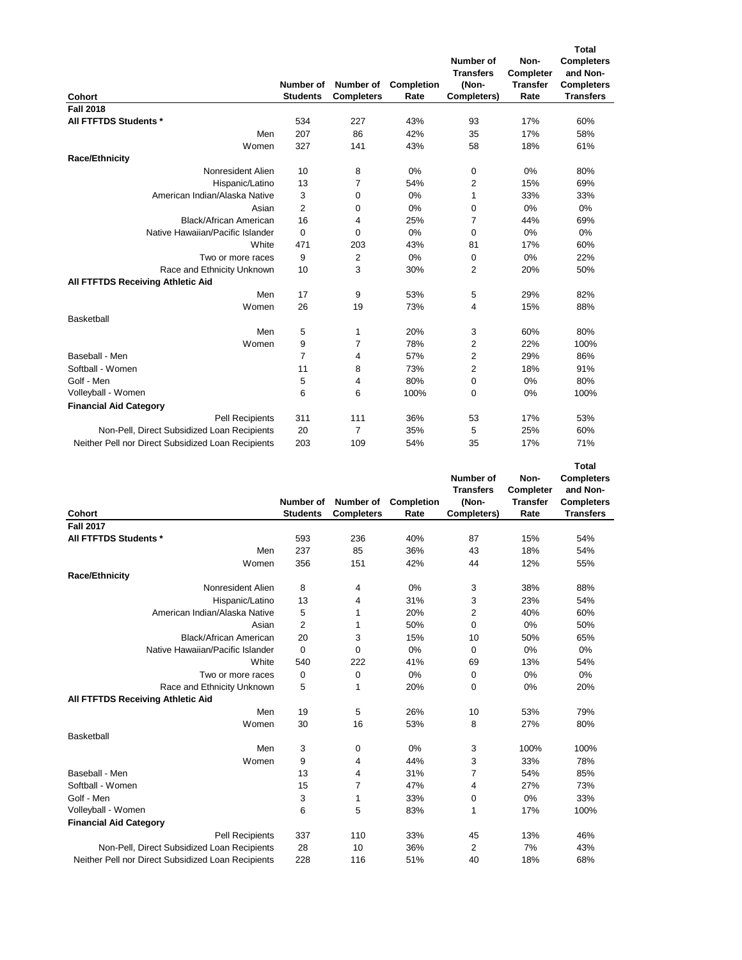| Cohort                                             | Number of<br><b>Students</b> | Number of<br><b>Completers</b> | Completion<br>Rate | Number of<br><b>Transfers</b><br>(Non-<br>Completers) | Non-<br>Completer<br><b>Transfer</b><br>Rate | <b>Total</b><br><b>Completers</b><br>and Non-<br><b>Completers</b><br><b>Transfers</b> |
|----------------------------------------------------|------------------------------|--------------------------------|--------------------|-------------------------------------------------------|----------------------------------------------|----------------------------------------------------------------------------------------|
| <b>Fall 2018</b>                                   |                              |                                |                    |                                                       |                                              |                                                                                        |
| All FTFTDS Students *                              | 534                          | 227                            | 43%                | 93                                                    | 17%                                          | 60%                                                                                    |
| Men                                                | 207                          | 86                             | 42%                | 35                                                    | 17%                                          | 58%                                                                                    |
| Women                                              | 327                          | 141                            | 43%                | 58                                                    | 18%                                          | 61%                                                                                    |
| <b>Race/Ethnicity</b>                              |                              |                                |                    |                                                       |                                              |                                                                                        |
| Nonresident Alien                                  | 10                           | 8                              | 0%                 | 0                                                     | 0%                                           | 80%                                                                                    |
| Hispanic/Latino                                    | 13                           | 7                              | 54%                | 2                                                     | 15%                                          | 69%                                                                                    |
| American Indian/Alaska Native                      | 3                            | 0                              | 0%                 | 1                                                     | 33%                                          | 33%                                                                                    |
| Asian                                              | $\overline{2}$               | 0                              | 0%                 | 0                                                     | 0%                                           | 0%                                                                                     |
| Black/African American                             | 16                           | 4                              | 25%                | 7                                                     | 44%                                          | 69%                                                                                    |
| Native Hawaiian/Pacific Islander                   | $\mathbf 0$                  | 0                              | 0%                 | 0                                                     | 0%                                           | 0%                                                                                     |
| White                                              | 471                          | 203                            | 43%                | 81                                                    | 17%                                          | 60%                                                                                    |
| Two or more races                                  | 9                            | 2                              | 0%                 | 0                                                     | 0%                                           | 22%                                                                                    |
| Race and Ethnicity Unknown                         | 10                           | 3                              | 30%                | 2                                                     | 20%                                          | 50%                                                                                    |
| All FTFTDS Receiving Athletic Aid                  |                              |                                |                    |                                                       |                                              |                                                                                        |
| Men                                                | 17                           | 9                              | 53%                | 5                                                     | 29%                                          | 82%                                                                                    |
| Women                                              | 26                           | 19                             | 73%                | 4                                                     | 15%                                          | 88%                                                                                    |
| Basketball                                         |                              |                                |                    |                                                       |                                              |                                                                                        |
| Men                                                | 5                            | 1                              | 20%                | 3                                                     | 60%                                          | 80%                                                                                    |
| Women                                              | 9                            | $\overline{7}$                 | 78%                | 2                                                     | 22%                                          | 100%                                                                                   |
| Baseball - Men                                     | 7                            | 4                              | 57%                | 2                                                     | 29%                                          | 86%                                                                                    |
| Softball - Women                                   | 11                           | 8                              | 73%                | 2                                                     | 18%                                          | 91%                                                                                    |
| Golf - Men                                         | 5                            | 4                              | 80%                | 0                                                     | 0%                                           | 80%                                                                                    |
| Volleyball - Women                                 | 6                            | 6                              | 100%               | 0                                                     | 0%                                           | 100%                                                                                   |
| <b>Financial Aid Category</b>                      |                              |                                |                    |                                                       |                                              |                                                                                        |
| Pell Recipients                                    | 311                          | 111                            | 36%                | 53                                                    | 17%                                          | 53%                                                                                    |
| Non-Pell, Direct Subsidized Loan Recipients        | 20                           | $\overline{7}$                 | 35%                | 5                                                     | 25%                                          | 60%                                                                                    |
| Neither Pell nor Direct Subsidized Loan Recipients | 203                          | 109                            | 54%                | 35                                                    | 17%                                          | 71%                                                                                    |

| Cohort                                             | Number of<br><b>Students</b> | Number of<br><b>Completers</b> | Completion<br>Rate | <b>Number of</b><br><b>Transfers</b><br>(Non-<br>Completers) | Non-<br>Completer<br><b>Transfer</b><br>Rate | <b>Total</b><br><b>Completers</b><br>and Non-<br><b>Completers</b><br><b>Transfers</b> |
|----------------------------------------------------|------------------------------|--------------------------------|--------------------|--------------------------------------------------------------|----------------------------------------------|----------------------------------------------------------------------------------------|
| <b>Fall 2017</b>                                   |                              |                                |                    |                                                              |                                              |                                                                                        |
| All FTFTDS Students *                              | 593                          | 236                            | 40%                | 87                                                           | 15%                                          | 54%                                                                                    |
| Men                                                | 237                          | 85                             | 36%                | 43                                                           | 18%                                          | 54%                                                                                    |
| Women                                              | 356                          | 151                            | 42%                | 44                                                           | 12%                                          | 55%                                                                                    |
| <b>Race/Ethnicity</b>                              |                              |                                |                    |                                                              |                                              |                                                                                        |
| Nonresident Alien                                  | 8                            | 4                              | 0%                 | 3                                                            | 38%                                          | 88%                                                                                    |
| Hispanic/Latino                                    | 13                           | 4                              | 31%                | 3                                                            | 23%                                          | 54%                                                                                    |
| American Indian/Alaska Native                      | 5                            | 1                              | 20%                | 2                                                            | 40%                                          | 60%                                                                                    |
| Asian                                              | $\overline{2}$               | 1                              | 50%                | 0                                                            | 0%                                           | 50%                                                                                    |
| Black/African American                             | 20                           | 3                              | 15%                | 10                                                           | 50%                                          | 65%                                                                                    |
| Native Hawaiian/Pacific Islander                   | $\mathbf 0$                  | $\Omega$                       | 0%                 | $\Omega$                                                     | 0%                                           | 0%                                                                                     |
| White                                              | 540                          | 222                            | 41%                | 69                                                           | 13%                                          | 54%                                                                                    |
| Two or more races                                  | 0                            | 0                              | 0%                 | 0                                                            | 0%                                           | 0%                                                                                     |
| Race and Ethnicity Unknown                         | 5                            | 1                              | 20%                | 0                                                            | 0%                                           | 20%                                                                                    |
| All FTFTDS Receiving Athletic Aid                  |                              |                                |                    |                                                              |                                              |                                                                                        |
| Men                                                | 19                           | 5                              | 26%                | 10                                                           | 53%                                          | 79%                                                                                    |
| Women                                              | 30                           | 16                             | 53%                | 8                                                            | 27%                                          | 80%                                                                                    |
| Basketball                                         |                              |                                |                    |                                                              |                                              |                                                                                        |
| Men                                                | 3                            | $\mathbf 0$                    | 0%                 | 3                                                            | 100%                                         | 100%                                                                                   |
| Women                                              | 9                            | 4                              | 44%                | 3                                                            | 33%                                          | 78%                                                                                    |
| Baseball - Men                                     | 13                           | 4                              | 31%                | 7                                                            | 54%                                          | 85%                                                                                    |
| Softball - Women                                   | 15                           | 7                              | 47%                | 4                                                            | 27%                                          | 73%                                                                                    |
| Golf - Men                                         | 3                            | 1                              | 33%                | 0                                                            | 0%                                           | 33%                                                                                    |
| Volleyball - Women                                 | 6                            | 5                              | 83%                | 1                                                            | 17%                                          | 100%                                                                                   |
| <b>Financial Aid Category</b>                      |                              |                                |                    |                                                              |                                              |                                                                                        |
| <b>Pell Recipients</b>                             | 337                          | 110                            | 33%                | 45                                                           | 13%                                          | 46%                                                                                    |
| Non-Pell, Direct Subsidized Loan Recipients        | 28                           | 10                             | 36%                | 2                                                            | 7%                                           | 43%                                                                                    |
| Neither Pell nor Direct Subsidized Loan Recipients | 228                          | 116                            | 51%                | 40                                                           | 18%                                          | 68%                                                                                    |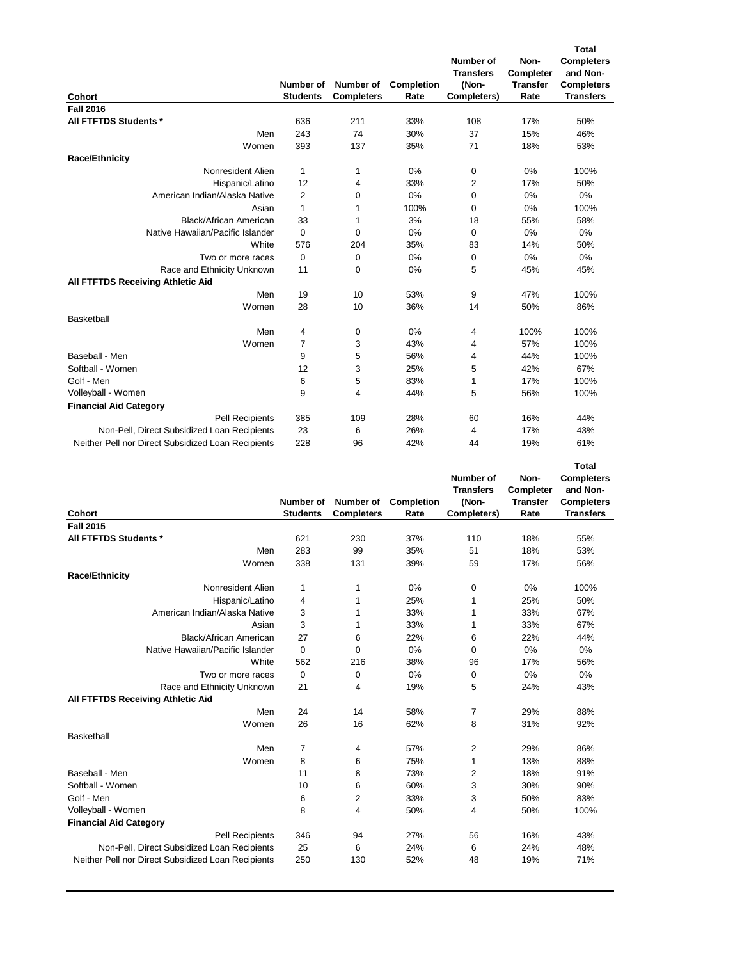| <b>Cohort</b>                                      | Number of<br><b>Students</b> | Number of<br><b>Completers</b> | Completion<br>Rate | Number of<br><b>Transfers</b><br>(Non-<br>Completers) | Non-<br>Completer<br><b>Transfer</b><br>Rate | <b>Total</b><br><b>Completers</b><br>and Non-<br><b>Completers</b><br><b>Transfers</b> |
|----------------------------------------------------|------------------------------|--------------------------------|--------------------|-------------------------------------------------------|----------------------------------------------|----------------------------------------------------------------------------------------|
| <b>Fall 2016</b>                                   |                              |                                |                    |                                                       |                                              |                                                                                        |
| All FTFTDS Students *                              | 636                          | 211                            | 33%                | 108                                                   | 17%                                          | 50%                                                                                    |
| Men                                                | 243                          | 74                             | 30%                | 37                                                    | 15%                                          | 46%                                                                                    |
| Women                                              | 393                          | 137                            | 35%                | 71                                                    | 18%                                          | 53%                                                                                    |
| <b>Race/Ethnicity</b>                              |                              |                                |                    |                                                       |                                              |                                                                                        |
| Nonresident Alien                                  | 1                            | 1                              | 0%                 | 0                                                     | 0%                                           | 100%                                                                                   |
| Hispanic/Latino                                    | 12                           | 4                              | 33%                | $\overline{\mathbf{c}}$                               | 17%                                          | 50%                                                                                    |
| American Indian/Alaska Native                      | 2                            | 0                              | 0%                 | 0                                                     | 0%                                           | 0%                                                                                     |
| Asian                                              | $\mathbf{1}$                 | 1                              | 100%               | $\mathbf 0$                                           | 0%                                           | 100%                                                                                   |
| <b>Black/African American</b>                      | 33                           | 1                              | 3%                 | 18                                                    | 55%                                          | 58%                                                                                    |
| Native Hawaiian/Pacific Islander                   | $\mathbf 0$                  | 0                              | 0%                 | 0                                                     | 0%                                           | 0%                                                                                     |
| White                                              | 576                          | 204                            | 35%                | 83                                                    | 14%                                          | 50%                                                                                    |
| Two or more races                                  | $\mathbf 0$                  | 0                              | 0%                 | 0                                                     | 0%                                           | 0%                                                                                     |
| Race and Ethnicity Unknown                         | 11                           | 0                              | 0%                 | 5                                                     | 45%                                          | 45%                                                                                    |
| All FTFTDS Receiving Athletic Aid                  |                              |                                |                    |                                                       |                                              |                                                                                        |
| Men                                                | 19                           | 10                             | 53%                | 9                                                     | 47%                                          | 100%                                                                                   |
| Women                                              | 28                           | 10                             | 36%                | 14                                                    | 50%                                          | 86%                                                                                    |
| Basketball                                         |                              |                                |                    |                                                       |                                              |                                                                                        |
| Men                                                | 4                            | 0                              | 0%                 | 4                                                     | 100%                                         | 100%                                                                                   |
| Women                                              | 7                            | 3                              | 43%                | 4                                                     | 57%                                          | 100%                                                                                   |
| Baseball - Men                                     | 9                            | 5                              | 56%                | 4                                                     | 44%                                          | 100%                                                                                   |
| Softball - Women                                   | 12                           | 3                              | 25%                | 5                                                     | 42%                                          | 67%                                                                                    |
| Golf - Men                                         | 6                            | 5                              | 83%                | 1                                                     | 17%                                          | 100%                                                                                   |
| Volleyball - Women                                 | 9                            | 4                              | 44%                | 5                                                     | 56%                                          | 100%                                                                                   |
| <b>Financial Aid Category</b>                      |                              |                                |                    |                                                       |                                              |                                                                                        |
| <b>Pell Recipients</b>                             | 385                          | 109                            | 28%                | 60                                                    | 16%                                          | 44%                                                                                    |
| Non-Pell, Direct Subsidized Loan Recipients        | 23                           | 6                              | 26%                | 4                                                     | 17%                                          | 43%                                                                                    |
| Neither Pell nor Direct Subsidized Loan Recipients | 228                          | 96                             | 42%                | 44                                                    | 19%                                          | 61%                                                                                    |

|                                                    |                 |                   |            |                    |                 | <b>Total</b>      |
|----------------------------------------------------|-----------------|-------------------|------------|--------------------|-----------------|-------------------|
|                                                    |                 |                   |            | Number of          | Non-            | <b>Completers</b> |
|                                                    |                 |                   |            | <b>Transfers</b>   | Completer       | and Non-          |
|                                                    | Number of       | Number of         | Completion | (Non-              | <b>Transfer</b> | <b>Completers</b> |
| Cohort                                             | <b>Students</b> | <b>Completers</b> | Rate       | <b>Completers)</b> | Rate            | <b>Transfers</b>  |
| <b>Fall 2015</b>                                   |                 |                   |            |                    |                 |                   |
| All FTFTDS Students *                              | 621             | 230               | 37%        | 110                | 18%             | 55%               |
| Men                                                | 283             | 99                | 35%        | 51                 | 18%             | 53%               |
| Women                                              | 338             | 131               | 39%        | 59                 | 17%             | 56%               |
| <b>Race/Ethnicity</b>                              |                 |                   |            |                    |                 |                   |
| Nonresident Alien                                  | 1               | 1                 | 0%         | 0                  | 0%              | 100%              |
| Hispanic/Latino                                    | 4               | 1                 | 25%        | 1                  | 25%             | 50%               |
| American Indian/Alaska Native                      | 3               | 1                 | 33%        | 1                  | 33%             | 67%               |
| Asian                                              | 3               | 1                 | 33%        | 1                  | 33%             | 67%               |
| Black/African American                             | 27              | 6                 | 22%        | 6                  | 22%             | 44%               |
| Native Hawaiian/Pacific Islander                   | $\mathbf 0$     | $\mathbf 0$       | 0%         | 0                  | 0%              | 0%                |
| White                                              | 562             | 216               | 38%        | 96                 | 17%             | 56%               |
| Two or more races                                  | 0               | 0                 | 0%         | 0                  | 0%              | 0%                |
| Race and Ethnicity Unknown                         | 21              | 4                 | 19%        | 5                  | 24%             | 43%               |
| All FTFTDS Receiving Athletic Aid                  |                 |                   |            |                    |                 |                   |
| Men                                                | 24              | 14                | 58%        | 7                  | 29%             | 88%               |
| Women                                              | 26              | 16                | 62%        | 8                  | 31%             | 92%               |
| <b>Basketball</b>                                  |                 |                   |            |                    |                 |                   |
| Men                                                | $\overline{7}$  | 4                 | 57%        | 2                  | 29%             | 86%               |
| Women                                              | 8               | 6                 | 75%        | 1                  | 13%             | 88%               |
| Baseball - Men                                     | 11              | 8                 | 73%        | 2                  | 18%             | 91%               |
| Softball - Women                                   | 10              | 6                 | 60%        | 3                  | 30%             | 90%               |
| Golf - Men                                         | 6               | 2                 | 33%        | 3                  | 50%             | 83%               |
| Volleyball - Women                                 | 8               | 4                 | 50%        | 4                  | 50%             | 100%              |
| <b>Financial Aid Category</b>                      |                 |                   |            |                    |                 |                   |
| <b>Pell Recipients</b>                             | 346             | 94                | 27%        | 56                 | 16%             | 43%               |
| Non-Pell, Direct Subsidized Loan Recipients        | 25              | 6                 | 24%        | 6                  | 24%             | 48%               |
| Neither Pell nor Direct Subsidized Loan Recipients | 250             | 130               | 52%        | 48                 | 19%             | 71%               |
|                                                    |                 |                   |            |                    |                 |                   |